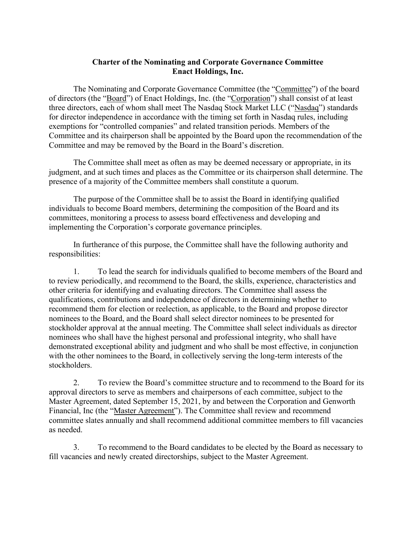## **Charter of the Nominating and Corporate Governance Committee Enact Holdings, Inc.**

The Nominating and Corporate Governance Committee (the "Committee") of the board of directors (the "Board") of Enact Holdings, Inc. (the "Corporation") shall consist of at least three directors, each of whom shall meet The Nasdaq Stock Market LLC ("Nasdaq") standards for director independence in accordance with the timing set forth in Nasdaq rules, including exemptions for "controlled companies" and related transition periods. Members of the Committee and its chairperson shall be appointed by the Board upon the recommendation of the Committee and may be removed by the Board in the Board's discretion.

The Committee shall meet as often as may be deemed necessary or appropriate, in its judgment, and at such times and places as the Committee or its chairperson shall determine. The presence of a majority of the Committee members shall constitute a quorum.

The purpose of the Committee shall be to assist the Board in identifying qualified individuals to become Board members, determining the composition of the Board and its committees, monitoring a process to assess board effectiveness and developing and implementing the Corporation's corporate governance principles.

In furtherance of this purpose, the Committee shall have the following authority and responsibilities:

1. To lead the search for individuals qualified to become members of the Board and to review periodically, and recommend to the Board, the skills, experience, characteristics and other criteria for identifying and evaluating directors. The Committee shall assess the qualifications, contributions and independence of directors in determining whether to recommend them for election or reelection, as applicable, to the Board and propose director nominees to the Board, and the Board shall select director nominees to be presented for stockholder approval at the annual meeting. The Committee shall select individuals as director nominees who shall have the highest personal and professional integrity, who shall have demonstrated exceptional ability and judgment and who shall be most effective, in conjunction with the other nominees to the Board, in collectively serving the long-term interests of the stockholders.

2. To review the Board's committee structure and to recommend to the Board for its approval directors to serve as members and chairpersons of each committee, subject to the Master Agreement, dated September 15, 2021, by and between the Corporation and Genworth Financial, Inc (the "Master Agreement"). The Committee shall review and recommend committee slates annually and shall recommend additional committee members to fill vacancies as needed.

3. To recommend to the Board candidates to be elected by the Board as necessary to fill vacancies and newly created directorships, subject to the Master Agreement.